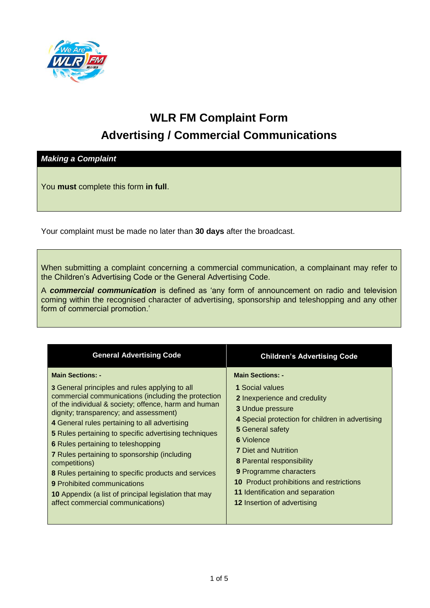

## **WLR FM Complaint Form Advertising / Commercial Communications**

*Making a Complaint*

You **must** complete this form **in full**.

Your complaint must be made no later than **30 days** after the broadcast.

When submitting a complaint concerning a commercial communication, a complainant may refer to the Children's Advertising Code or the General Advertising Code.

A *commercial communication* is defined as 'any form of announcement on radio and television coming within the recognised character of advertising, sponsorship and teleshopping and any other form of commercial promotion.'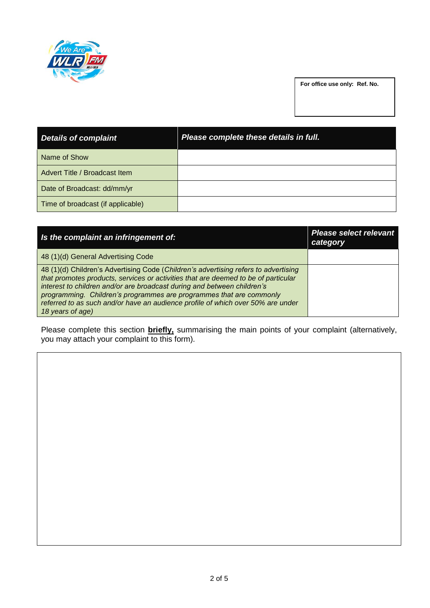

**For office use only: Ref. No.**

| <b>Details of complaint</b>       | Please complete these details in full. |
|-----------------------------------|----------------------------------------|
| Name of Show                      |                                        |
| Advert Title / Broadcast Item     |                                        |
| Date of Broadcast: dd/mm/yr       |                                        |
| Time of broadcast (if applicable) |                                        |

| Is the complaint an infringement of:                                                                                                                                                                                                                                                                                                                                                                                               | <b>Please select relevant</b><br>category |
|------------------------------------------------------------------------------------------------------------------------------------------------------------------------------------------------------------------------------------------------------------------------------------------------------------------------------------------------------------------------------------------------------------------------------------|-------------------------------------------|
| 48 (1)(d) General Advertising Code                                                                                                                                                                                                                                                                                                                                                                                                 |                                           |
| 48 (1)(d) Children's Advertising Code (Children's advertising refers to advertising<br>that promotes products, services or activities that are deemed to be of particular<br>interest to children and/or are broadcast during and between children's<br>programming. Children's programmes are programmes that are commonly<br>referred to as such and/or have an audience profile of which over 50% are under<br>18 years of age) |                                           |

Please complete this section **briefly,** summarising the main points of your complaint (alternatively, you may attach your complaint to this form).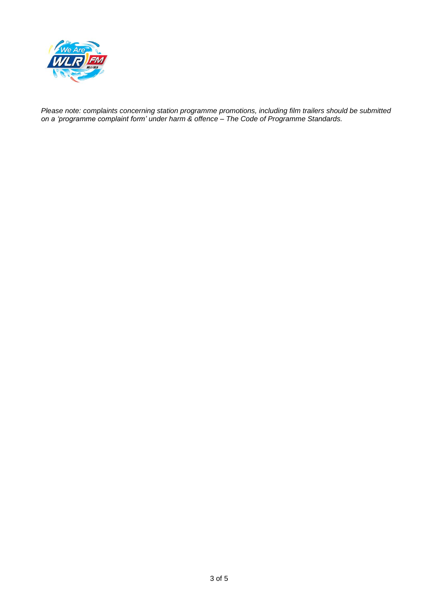

*Please note: complaints concerning station programme promotions, including film trailers should be submitted on a 'programme complaint form' under harm & offence – The Code of Programme Standards.*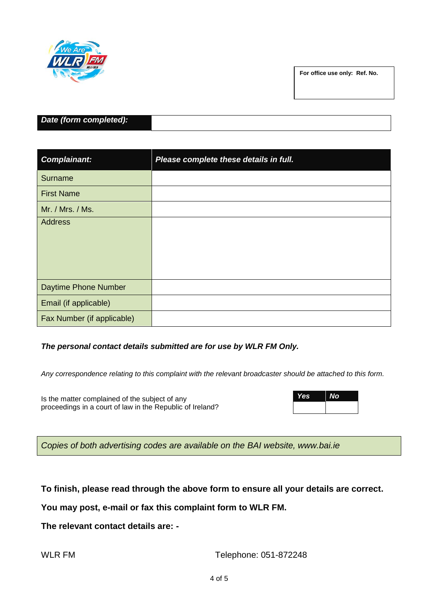

**For office use only: Ref. No.**

| Date (form completed): |  |
|------------------------|--|

| <b>Complainant:</b>        | Please complete these details in full. |
|----------------------------|----------------------------------------|
| <b>Surname</b>             |                                        |
| <b>First Name</b>          |                                        |
| Mr. / Mrs. / Ms.           |                                        |
| Address                    |                                        |
| Daytime Phone Number       |                                        |
| Email (if applicable)      |                                        |
| Fax Number (if applicable) |                                        |

## *The personal contact details submitted are for use by WLR FM Only.*

*Any correspondence relating to this complaint with the relevant broadcaster should be attached to this form.*

Is the matter complained of the subject of any proceedings in a court of law in the Republic of Ireland?

| Yes | <b>No</b> |
|-----|-----------|
|     |           |

*Copies of both advertising codes are available on the BAI website, [www.bai.ie](http://www.bai.ie/)*

**To finish, please read through the above form to ensure all your details are correct.**

**You may post, e-mail or fax this complaint form to WLR FM.** 

**The relevant contact details are: -**

WLR FM Telephone: 051-872248